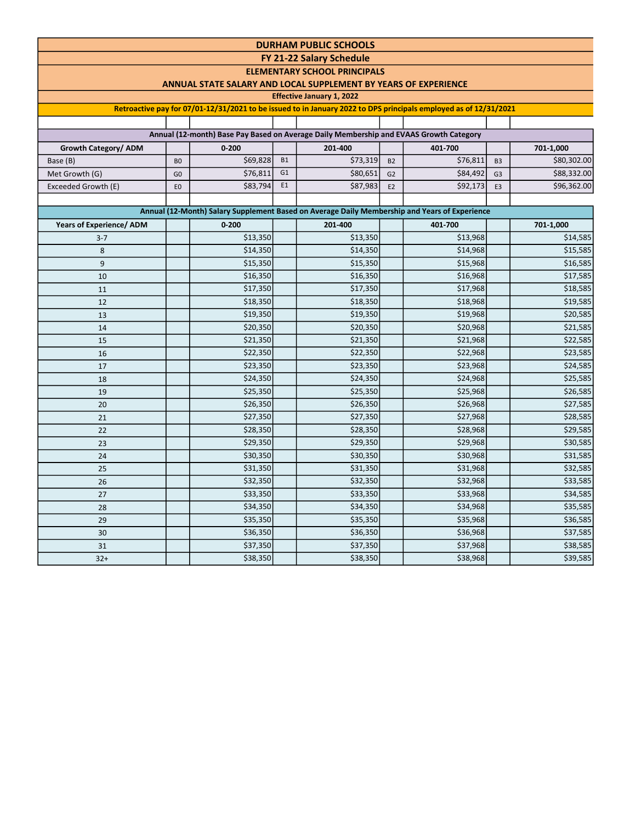| <b>DURHAM PUBLIC SCHOOLS</b>    |                                  |                                                                                        |                |                                     |                      |                                                                                                                  |                                  |                            |  |  |  |
|---------------------------------|----------------------------------|----------------------------------------------------------------------------------------|----------------|-------------------------------------|----------------------|------------------------------------------------------------------------------------------------------------------|----------------------------------|----------------------------|--|--|--|
|                                 |                                  |                                                                                        |                | FY 21-22 Salary Schedule            |                      |                                                                                                                  |                                  |                            |  |  |  |
|                                 |                                  |                                                                                        |                | <b>ELEMENTARY SCHOOL PRINCIPALS</b> |                      |                                                                                                                  |                                  |                            |  |  |  |
|                                 |                                  | ANNUAL STATE SALARY AND LOCAL SUPPLEMENT BY YEARS OF EXPERIENCE                        |                |                                     |                      |                                                                                                                  |                                  |                            |  |  |  |
|                                 |                                  |                                                                                        |                | <b>Effective January 1, 2022</b>    |                      |                                                                                                                  |                                  |                            |  |  |  |
|                                 |                                  |                                                                                        |                |                                     |                      | Retroactive pay for 07/01-12/31/2021 to be issued to in January 2022 to DPS principals employed as of 12/31/2021 |                                  |                            |  |  |  |
|                                 |                                  |                                                                                        |                |                                     |                      |                                                                                                                  |                                  |                            |  |  |  |
|                                 |                                  | Annual (12-month) Base Pay Based on Average Daily Membership and EVAAS Growth Category |                |                                     |                      |                                                                                                                  |                                  |                            |  |  |  |
| Growth Category/ ADM            |                                  | $0 - 200$                                                                              | <b>B1</b>      | 201-400                             |                      | 401-700                                                                                                          |                                  | 701-1,000                  |  |  |  |
| Base (B)                        | B <sub>0</sub><br>G <sub>0</sub> | \$69,828<br>\$76,811                                                                   | G <sub>1</sub> | \$73,319<br>\$80,651                | <b>B2</b>            | \$76,811<br>\$84,492                                                                                             | B <sub>3</sub><br>G <sub>3</sub> | \$80,302.00<br>\$88,332.00 |  |  |  |
| Met Growth (G)                  | E <sub>0</sub>                   | \$83,794                                                                               | E <sub>1</sub> | \$87,983                            | G <sub>2</sub><br>E2 | \$92,173                                                                                                         | E <sub>3</sub>                   | \$96,362.00                |  |  |  |
| Exceeded Growth (E)             |                                  |                                                                                        |                |                                     |                      |                                                                                                                  |                                  |                            |  |  |  |
|                                 |                                  |                                                                                        |                |                                     |                      | Annual (12-Month) Salary Supplement Based on Average Daily Membership and Years of Experience                    |                                  |                            |  |  |  |
| <b>Years of Experience/ ADM</b> |                                  | $0 - 200$                                                                              |                | 201-400                             |                      | 401-700                                                                                                          |                                  | 701-1,000                  |  |  |  |
| $3 - 7$                         |                                  | \$13,350                                                                               |                | \$13,350                            |                      | \$13,968                                                                                                         |                                  | \$14,585                   |  |  |  |
| 8                               |                                  | \$14,350                                                                               |                | \$14,350                            |                      | \$14,968                                                                                                         |                                  | \$15,585                   |  |  |  |
| 9                               |                                  | \$15,350                                                                               |                | \$15,350                            |                      | \$15,968                                                                                                         |                                  | \$16,585                   |  |  |  |
| 10                              |                                  | \$16,350                                                                               |                | \$16,350                            |                      | \$16,968                                                                                                         |                                  | \$17,585                   |  |  |  |
| 11                              |                                  | \$17,350                                                                               |                | \$17,350                            |                      | \$17,968                                                                                                         |                                  | \$18,585                   |  |  |  |
| 12                              |                                  | \$18,350                                                                               |                | \$18,350                            |                      | \$18,968                                                                                                         |                                  | \$19,585                   |  |  |  |
| 13                              |                                  | \$19,350                                                                               |                | \$19,350                            |                      | \$19,968                                                                                                         |                                  | \$20,585                   |  |  |  |
| 14                              |                                  | \$20,350                                                                               |                | \$20,350                            |                      | \$20,968                                                                                                         |                                  | \$21,585                   |  |  |  |
| 15                              |                                  | \$21,350                                                                               |                | \$21,350                            |                      | \$21,968                                                                                                         |                                  | \$22,585                   |  |  |  |
| 16                              |                                  | \$22,350                                                                               |                | \$22,350                            |                      | \$22,968                                                                                                         |                                  | \$23,585                   |  |  |  |
| 17                              |                                  | \$23,350                                                                               |                | \$23,350                            |                      | \$23,968                                                                                                         |                                  | \$24,585                   |  |  |  |
| 18                              |                                  | \$24,350                                                                               |                | \$24,350                            |                      | \$24,968                                                                                                         |                                  | \$25,585                   |  |  |  |
| 19                              |                                  | \$25,350                                                                               |                | \$25,350                            |                      | \$25,968                                                                                                         |                                  | \$26,585                   |  |  |  |
| 20                              |                                  | \$26,350                                                                               |                | \$26,350                            |                      | \$26,968                                                                                                         |                                  | \$27,585                   |  |  |  |
| 21                              |                                  | \$27,350                                                                               |                | \$27,350                            |                      | \$27,968                                                                                                         |                                  | \$28,585                   |  |  |  |
| 22                              |                                  | \$28,350                                                                               |                | \$28,350                            |                      | \$28,968                                                                                                         |                                  | \$29,585                   |  |  |  |
| 23                              |                                  | \$29,350                                                                               |                | \$29,350                            |                      | \$29,968                                                                                                         |                                  | \$30,585                   |  |  |  |
| 24                              |                                  | \$30,350                                                                               |                | \$30,350                            |                      | \$30,968                                                                                                         |                                  | \$31,585                   |  |  |  |
| 25                              |                                  | \$31,350                                                                               |                | \$31,350                            |                      | \$31,968                                                                                                         |                                  | \$32,585                   |  |  |  |
| 26                              |                                  | \$32,350                                                                               |                | \$32,350                            |                      | \$32,968                                                                                                         |                                  | \$33,585                   |  |  |  |
| 27                              |                                  | \$33,350                                                                               |                | \$33,350                            |                      | \$33,968                                                                                                         |                                  | \$34,585                   |  |  |  |
| 28                              |                                  | \$34,350                                                                               |                | \$34,350                            |                      | \$34,968                                                                                                         |                                  | \$35,585                   |  |  |  |
| 29                              |                                  | \$35,350                                                                               |                | \$35,350                            |                      | \$35,968                                                                                                         |                                  | \$36,585                   |  |  |  |
| 30                              |                                  | \$36,350                                                                               |                | \$36,350                            |                      | \$36,968                                                                                                         |                                  | \$37,585                   |  |  |  |
| 31                              |                                  | \$37,350                                                                               |                | \$37,350                            |                      | \$37,968                                                                                                         |                                  | \$38,585                   |  |  |  |
| $32+$                           |                                  | \$38,350                                                                               |                | \$38,350                            |                      | \$38,968                                                                                                         |                                  | \$39,585                   |  |  |  |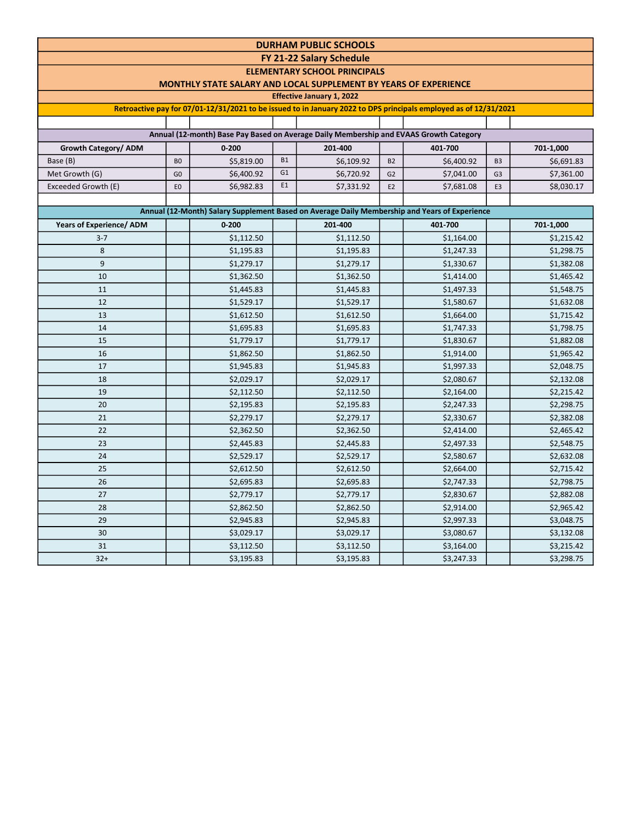| <b>DURHAM PUBLIC SCHOOLS</b>                                                                                                                                                     |                                                                                                                                        |                                                                                                                  |                |                                     |                |                          |                |            |  |  |  |  |  |
|----------------------------------------------------------------------------------------------------------------------------------------------------------------------------------|----------------------------------------------------------------------------------------------------------------------------------------|------------------------------------------------------------------------------------------------------------------|----------------|-------------------------------------|----------------|--------------------------|----------------|------------|--|--|--|--|--|
| <b>FY 21-22 Salary Schedule</b>                                                                                                                                                  |                                                                                                                                        |                                                                                                                  |                |                                     |                |                          |                |            |  |  |  |  |  |
|                                                                                                                                                                                  |                                                                                                                                        |                                                                                                                  |                | <b>ELEMENTARY SCHOOL PRINCIPALS</b> |                |                          |                |            |  |  |  |  |  |
|                                                                                                                                                                                  |                                                                                                                                        | <b>MONTHLY STATE SALARY AND LOCAL SUPPLEMENT BY YEARS OF EXPERIENCE</b>                                          |                |                                     |                |                          |                |            |  |  |  |  |  |
|                                                                                                                                                                                  |                                                                                                                                        |                                                                                                                  |                | <b>Effective January 1, 2022</b>    |                |                          |                |            |  |  |  |  |  |
|                                                                                                                                                                                  |                                                                                                                                        | Retroactive pay for 07/01-12/31/2021 to be issued to in January 2022 to DPS principals employed as of 12/31/2021 |                |                                     |                |                          |                |            |  |  |  |  |  |
|                                                                                                                                                                                  |                                                                                                                                        |                                                                                                                  |                |                                     |                |                          |                |            |  |  |  |  |  |
|                                                                                                                                                                                  | Annual (12-month) Base Pay Based on Average Daily Membership and EVAAS Growth Category<br>$0 - 200$<br>201-400<br>401-700<br>701-1,000 |                                                                                                                  |                |                                     |                |                          |                |            |  |  |  |  |  |
| Growth Category/ ADM                                                                                                                                                             |                                                                                                                                        |                                                                                                                  | <b>B1</b>      |                                     |                |                          |                |            |  |  |  |  |  |
| Base (B)                                                                                                                                                                         | B <sub>0</sub>                                                                                                                         | \$5,819.00                                                                                                       | G <sub>1</sub> | \$6,109.92                          | <b>B2</b>      | \$6,400.92               | B <sub>3</sub> | \$6,691.83 |  |  |  |  |  |
| Met Growth (G)                                                                                                                                                                   | G <sub>0</sub>                                                                                                                         | \$6,400.92                                                                                                       | E1             | \$6,720.92                          | G <sub>2</sub> | \$7,041.00               | G <sub>3</sub> | \$7,361.00 |  |  |  |  |  |
| Exceeded Growth (E)                                                                                                                                                              | E <sub>0</sub>                                                                                                                         | \$6,982.83                                                                                                       |                | \$7,331.92                          | E <sub>2</sub> | \$7,681.08               | E <sub>3</sub> | \$8,030.17 |  |  |  |  |  |
|                                                                                                                                                                                  |                                                                                                                                        |                                                                                                                  |                |                                     |                |                          |                |            |  |  |  |  |  |
| Annual (12-Month) Salary Supplement Based on Average Daily Membership and Years of Experience<br><b>Years of Experience/ ADM</b><br>$0 - 200$<br>201-400<br>401-700<br>701-1,000 |                                                                                                                                        |                                                                                                                  |                |                                     |                |                          |                |            |  |  |  |  |  |
| $3 - 7$                                                                                                                                                                          |                                                                                                                                        | \$1,112.50                                                                                                       |                | \$1,112.50                          |                |                          |                | \$1,215.42 |  |  |  |  |  |
| 8                                                                                                                                                                                |                                                                                                                                        | \$1,195.83                                                                                                       |                | \$1,195.83                          |                | \$1,164.00<br>\$1,247.33 |                | \$1,298.75 |  |  |  |  |  |
| 9                                                                                                                                                                                |                                                                                                                                        | \$1,279.17                                                                                                       |                | \$1,279.17                          |                | \$1,330.67               |                | \$1,382.08 |  |  |  |  |  |
| 10                                                                                                                                                                               |                                                                                                                                        | \$1,362.50                                                                                                       |                | \$1,362.50                          |                | \$1,414.00               |                | \$1,465.42 |  |  |  |  |  |
| 11                                                                                                                                                                               |                                                                                                                                        | \$1,445.83                                                                                                       |                | \$1,445.83                          |                | \$1,497.33               |                | \$1,548.75 |  |  |  |  |  |
| 12                                                                                                                                                                               |                                                                                                                                        | \$1,529.17                                                                                                       |                | \$1,529.17                          |                | \$1,580.67               |                | \$1,632.08 |  |  |  |  |  |
| 13                                                                                                                                                                               |                                                                                                                                        | \$1,612.50                                                                                                       |                | \$1,612.50                          |                | \$1,664.00               |                | \$1,715.42 |  |  |  |  |  |
| 14                                                                                                                                                                               |                                                                                                                                        | \$1,695.83                                                                                                       |                | \$1,695.83                          |                | \$1,747.33               |                | \$1,798.75 |  |  |  |  |  |
| 15                                                                                                                                                                               |                                                                                                                                        | \$1,779.17                                                                                                       |                | \$1,779.17                          |                | \$1,830.67               |                | \$1,882.08 |  |  |  |  |  |
| 16                                                                                                                                                                               |                                                                                                                                        | \$1,862.50                                                                                                       |                | \$1,862.50                          |                | \$1,914.00               |                | \$1,965.42 |  |  |  |  |  |
| 17                                                                                                                                                                               |                                                                                                                                        | \$1,945.83                                                                                                       |                | \$1,945.83                          |                | \$1,997.33               |                | \$2,048.75 |  |  |  |  |  |
| 18                                                                                                                                                                               |                                                                                                                                        | \$2,029.17                                                                                                       |                | \$2,029.17                          |                | \$2,080.67               |                | \$2,132.08 |  |  |  |  |  |
| 19                                                                                                                                                                               |                                                                                                                                        | \$2,112.50                                                                                                       |                | \$2,112.50                          |                | \$2,164.00               |                | \$2,215.42 |  |  |  |  |  |
| 20                                                                                                                                                                               |                                                                                                                                        | \$2,195.83                                                                                                       |                | \$2,195.83                          |                | \$2,247.33               |                | \$2,298.75 |  |  |  |  |  |
| 21                                                                                                                                                                               |                                                                                                                                        | \$2,279.17                                                                                                       |                | \$2,279.17                          |                | \$2,330.67               |                | \$2,382.08 |  |  |  |  |  |
| 22                                                                                                                                                                               |                                                                                                                                        | \$2,362.50                                                                                                       |                | \$2,362.50                          |                | \$2,414.00               |                | \$2,465.42 |  |  |  |  |  |
| 23                                                                                                                                                                               |                                                                                                                                        | \$2,445.83                                                                                                       |                | \$2,445.83                          |                | \$2,497.33               |                | \$2,548.75 |  |  |  |  |  |
| 24                                                                                                                                                                               |                                                                                                                                        | \$2,529.17                                                                                                       |                | \$2,529.17                          |                | \$2,580.67               |                | \$2,632.08 |  |  |  |  |  |
| 25                                                                                                                                                                               |                                                                                                                                        | \$2,612.50                                                                                                       |                | \$2,612.50                          |                | \$2,664.00               |                | \$2,715.42 |  |  |  |  |  |
| 26                                                                                                                                                                               |                                                                                                                                        | \$2,695.83                                                                                                       |                | \$2,695.83                          |                | \$2,747.33               |                | \$2,798.75 |  |  |  |  |  |
| 27                                                                                                                                                                               |                                                                                                                                        | \$2,779.17                                                                                                       |                | \$2,779.17                          |                | \$2,830.67               |                | \$2,882.08 |  |  |  |  |  |
| 28                                                                                                                                                                               |                                                                                                                                        | \$2,862.50                                                                                                       |                | \$2,862.50                          |                | \$2,914.00               |                | \$2,965.42 |  |  |  |  |  |
| 29                                                                                                                                                                               |                                                                                                                                        | \$2,945.83                                                                                                       |                | \$2,945.83                          |                | \$2,997.33               |                | \$3,048.75 |  |  |  |  |  |
| 30                                                                                                                                                                               |                                                                                                                                        | \$3,029.17                                                                                                       |                | \$3,029.17                          |                | \$3,080.67               |                | \$3,132.08 |  |  |  |  |  |
| 31                                                                                                                                                                               |                                                                                                                                        | \$3,112.50                                                                                                       |                | \$3,112.50                          |                | \$3,164.00               |                | \$3,215.42 |  |  |  |  |  |
| $32+$                                                                                                                                                                            |                                                                                                                                        | \$3,195.83                                                                                                       |                | \$3,195.83                          |                | \$3,247.33               |                | \$3,298.75 |  |  |  |  |  |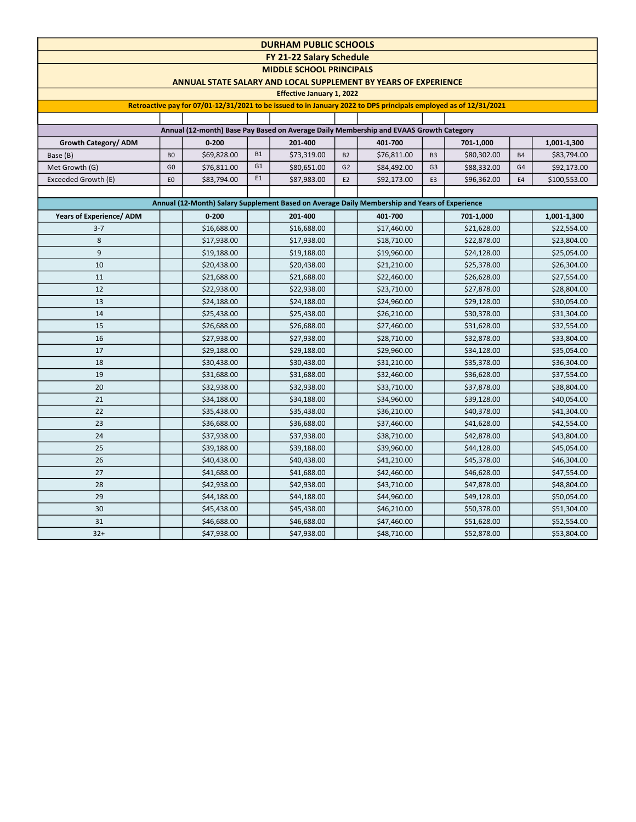| <b>DURHAM PUBLIC SCHOOLS</b>                                                                  |                                                                                                                  |             |                |                                                                        |                |             |                |             |                |              |  |  |
|-----------------------------------------------------------------------------------------------|------------------------------------------------------------------------------------------------------------------|-------------|----------------|------------------------------------------------------------------------|----------------|-------------|----------------|-------------|----------------|--------------|--|--|
| FY 21-22 Salary Schedule                                                                      |                                                                                                                  |             |                |                                                                        |                |             |                |             |                |              |  |  |
|                                                                                               |                                                                                                                  |             |                | <b>MIDDLE SCHOOL PRINCIPALS</b>                                        |                |             |                |             |                |              |  |  |
|                                                                                               |                                                                                                                  |             |                | <b>ANNUAL STATE SALARY AND LOCAL SUPPLEMENT BY YEARS OF EXPERIENCE</b> |                |             |                |             |                |              |  |  |
|                                                                                               |                                                                                                                  |             |                | <b>Effective January 1, 2022</b>                                       |                |             |                |             |                |              |  |  |
|                                                                                               | Retroactive pay for 07/01-12/31/2021 to be issued to in January 2022 to DPS principals employed as of 12/31/2021 |             |                |                                                                        |                |             |                |             |                |              |  |  |
|                                                                                               |                                                                                                                  |             |                |                                                                        |                |             |                |             |                |              |  |  |
| Annual (12-month) Base Pay Based on Average Daily Membership and EVAAS Growth Category        |                                                                                                                  |             |                |                                                                        |                |             |                |             |                |              |  |  |
| Growth Category/ ADM                                                                          |                                                                                                                  | $0 - 200$   |                | 201-400                                                                |                | 401-700     |                | 701-1,000   |                | 1,001-1,300  |  |  |
| Base (B)                                                                                      | B <sub>0</sub>                                                                                                   | \$69,828.00 | <b>B1</b>      | \$73,319.00                                                            | B <sub>2</sub> | \$76,811.00 | B <sub>3</sub> | \$80,302.00 | <b>B4</b>      | \$83,794.00  |  |  |
| Met Growth (G)                                                                                | G <sub>0</sub>                                                                                                   | \$76,811.00 | G <sub>1</sub> | \$80,651.00                                                            | G <sub>2</sub> | \$84,492.00 | G <sub>3</sub> | \$88,332.00 | G4             | \$92,173.00  |  |  |
| Exceeded Growth (E)                                                                           | E <sub>0</sub>                                                                                                   | \$83,794.00 | E <sub>1</sub> | \$87,983.00                                                            | E <sub>2</sub> | \$92,173.00 | E <sub>3</sub> | \$96,362.00 | E <sub>4</sub> | \$100,553.00 |  |  |
|                                                                                               |                                                                                                                  |             |                |                                                                        |                |             |                |             |                |              |  |  |
| Annual (12-Month) Salary Supplement Based on Average Daily Membership and Years of Experience |                                                                                                                  |             |                |                                                                        |                |             |                |             |                |              |  |  |
| <b>Years of Experience/ ADM</b>                                                               |                                                                                                                  | $0 - 200$   |                | 201-400                                                                |                | 401-700     |                | 701-1,000   |                | 1,001-1,300  |  |  |
| $3 - 7$                                                                                       |                                                                                                                  | \$16,688.00 |                | \$16,688.00                                                            |                | \$17,460.00 |                | \$21,628.00 |                | \$22,554.00  |  |  |
| 8                                                                                             |                                                                                                                  | \$17,938.00 |                | \$17,938.00                                                            |                | \$18,710.00 |                | \$22,878.00 |                | \$23,804.00  |  |  |
| 9                                                                                             |                                                                                                                  | \$19,188.00 |                | \$19,188.00                                                            |                | \$19,960.00 |                | \$24,128.00 |                | \$25,054.00  |  |  |
| 10                                                                                            |                                                                                                                  | \$20,438.00 |                | \$20,438.00                                                            |                | \$21,210.00 |                | \$25,378.00 |                | \$26,304.00  |  |  |
| 11                                                                                            |                                                                                                                  | \$21,688.00 |                | \$21,688.00                                                            |                | \$22,460.00 |                | \$26,628.00 |                | \$27,554.00  |  |  |
| 12                                                                                            |                                                                                                                  | \$22,938.00 |                | \$22,938.00                                                            |                | \$23,710.00 |                | \$27,878.00 |                | \$28,804.00  |  |  |
| 13                                                                                            |                                                                                                                  | \$24,188.00 |                | \$24,188.00                                                            |                | \$24,960.00 |                | \$29,128.00 |                | \$30,054.00  |  |  |
| 14                                                                                            |                                                                                                                  | \$25,438.00 |                | \$25,438.00                                                            |                | \$26,210.00 |                | \$30,378.00 |                | \$31,304.00  |  |  |
| 15                                                                                            |                                                                                                                  | \$26,688.00 |                | \$26,688.00                                                            |                | \$27,460.00 |                | \$31,628.00 |                | \$32,554.00  |  |  |
| 16                                                                                            |                                                                                                                  | \$27,938.00 |                | \$27,938.00                                                            |                | \$28,710.00 |                | \$32,878.00 |                | \$33,804.00  |  |  |
| 17                                                                                            |                                                                                                                  | \$29,188.00 |                | \$29,188.00                                                            |                | \$29,960.00 |                | \$34,128.00 |                | \$35,054.00  |  |  |
| 18                                                                                            |                                                                                                                  | \$30,438.00 |                | \$30,438.00                                                            |                | \$31,210.00 |                | \$35,378.00 |                | \$36,304.00  |  |  |
| 19                                                                                            |                                                                                                                  | \$31,688.00 |                | \$31,688.00                                                            |                | \$32,460.00 |                | \$36,628.00 |                | \$37,554.00  |  |  |
| 20                                                                                            |                                                                                                                  | \$32,938.00 |                | \$32,938.00                                                            |                | \$33,710.00 |                | \$37,878.00 |                | \$38,804.00  |  |  |
| 21                                                                                            |                                                                                                                  | \$34,188.00 |                | \$34,188.00                                                            |                | \$34,960.00 |                | \$39,128.00 |                | \$40,054.00  |  |  |
| 22                                                                                            |                                                                                                                  | \$35,438.00 |                | \$35,438.00                                                            |                | \$36,210.00 |                | \$40,378.00 |                | \$41,304.00  |  |  |
| 23                                                                                            |                                                                                                                  | \$36,688.00 |                | \$36,688.00                                                            |                | \$37,460.00 |                | \$41,628.00 |                | \$42,554.00  |  |  |
| 24                                                                                            |                                                                                                                  | \$37,938.00 |                | \$37,938.00                                                            |                | \$38,710.00 |                | \$42,878.00 |                | \$43,804.00  |  |  |
| 25                                                                                            |                                                                                                                  | \$39,188.00 |                | \$39,188.00                                                            |                | \$39,960.00 |                | \$44,128.00 |                | \$45,054.00  |  |  |
| 26                                                                                            |                                                                                                                  | \$40,438.00 |                | \$40,438.00                                                            |                | \$41,210.00 |                | \$45,378.00 |                | \$46,304.00  |  |  |
| 27                                                                                            |                                                                                                                  | \$41,688.00 |                | \$41,688.00                                                            |                | \$42,460.00 |                | \$46,628.00 |                | \$47,554.00  |  |  |
| 28                                                                                            |                                                                                                                  | \$42,938.00 |                | \$42,938.00                                                            |                | \$43,710.00 |                | \$47,878.00 |                | \$48,804.00  |  |  |
| 29                                                                                            |                                                                                                                  | \$44,188.00 |                | \$44,188.00                                                            |                | \$44,960.00 |                | \$49,128.00 |                | \$50,054.00  |  |  |
| 30                                                                                            |                                                                                                                  | \$45,438.00 |                | \$45,438.00                                                            |                | \$46,210.00 |                | \$50,378.00 |                | \$51,304.00  |  |  |
| 31                                                                                            |                                                                                                                  | \$46,688.00 |                | \$46,688.00                                                            |                | \$47,460.00 |                | \$51,628.00 |                | \$52,554.00  |  |  |
| $32+$                                                                                         |                                                                                                                  | \$47,938.00 |                | \$47,938.00                                                            |                | \$48,710.00 |                | \$52,878.00 |                | \$53,804.00  |  |  |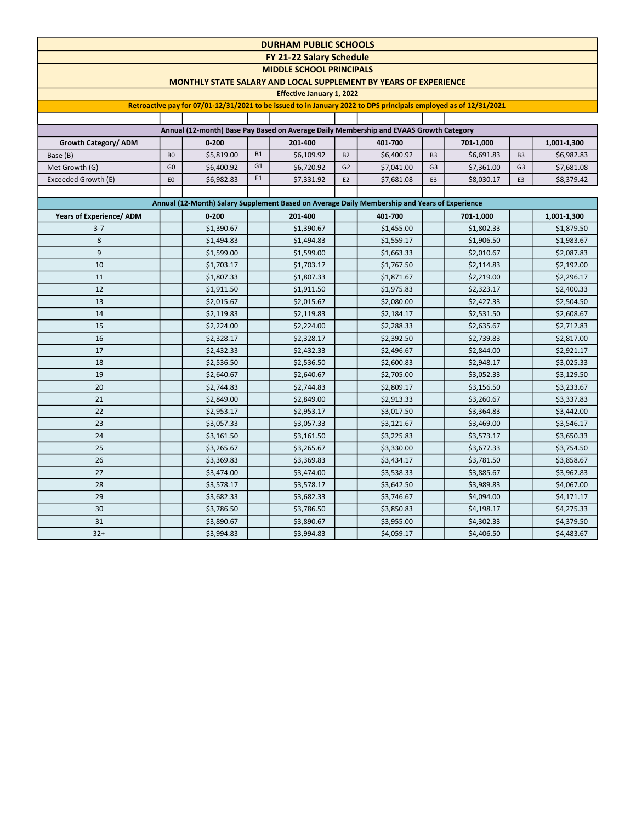| <b>DURHAM PUBLIC SCHOOLS</b>                                                                                     |                |                                                                         |           |                                  |                |                       |                |                         |                |                           |  |
|------------------------------------------------------------------------------------------------------------------|----------------|-------------------------------------------------------------------------|-----------|----------------------------------|----------------|-----------------------|----------------|-------------------------|----------------|---------------------------|--|
|                                                                                                                  |                |                                                                         |           | FY 21-22 Salary Schedule         |                |                       |                |                         |                |                           |  |
|                                                                                                                  |                |                                                                         |           | <b>MIDDLE SCHOOL PRINCIPALS</b>  |                |                       |                |                         |                |                           |  |
|                                                                                                                  |                | <b>MONTHLY STATE SALARY AND LOCAL SUPPLEMENT BY YEARS OF EXPERIENCE</b> |           |                                  |                |                       |                |                         |                |                           |  |
|                                                                                                                  |                |                                                                         |           | <b>Effective January 1, 2022</b> |                |                       |                |                         |                |                           |  |
| Retroactive pay for 07/01-12/31/2021 to be issued to in January 2022 to DPS principals employed as of 12/31/2021 |                |                                                                         |           |                                  |                |                       |                |                         |                |                           |  |
| Annual (12-month) Base Pay Based on Average Daily Membership and EVAAS Growth Category                           |                |                                                                         |           |                                  |                |                       |                |                         |                |                           |  |
|                                                                                                                  |                |                                                                         |           |                                  |                |                       |                |                         |                |                           |  |
| Growth Category/ ADM                                                                                             | B <sub>O</sub> | $0 - 200$<br>\$5,819.00                                                 | <b>B1</b> | 201-400<br>\$6,109.92            | <b>B2</b>      | 401-700<br>\$6,400.92 | B <sub>3</sub> | 701-1,000<br>\$6,691.83 | B <sub>3</sub> | 1,001-1,300<br>\$6,982.83 |  |
| Base (B)<br>Met Growth (G)                                                                                       | G <sub>0</sub> | \$6,400.92                                                              | G1        | \$6,720.92                       | G <sub>2</sub> | \$7,041.00            | G <sub>3</sub> | \$7,361.00              | G <sub>3</sub> | \$7,681.08                |  |
| Exceeded Growth (E)                                                                                              | E <sub>O</sub> | \$6,982.83                                                              | E1        | \$7,331.92                       | E <sub>2</sub> | \$7,681.08            | E <sub>3</sub> | \$8,030.17              | E <sub>3</sub> | \$8,379.42                |  |
|                                                                                                                  |                |                                                                         |           |                                  |                |                       |                |                         |                |                           |  |
| Annual (12-Month) Salary Supplement Based on Average Daily Membership and Years of Experience                    |                |                                                                         |           |                                  |                |                       |                |                         |                |                           |  |
| <b>Years of Experience/ ADM</b>                                                                                  |                | $0 - 200$                                                               |           | 201-400                          |                | 401-700               |                | 701-1,000               |                | 1,001-1,300               |  |
| $3 - 7$                                                                                                          |                | \$1,390.67                                                              |           | \$1,390.67                       |                | \$1,455.00            |                | \$1,802.33              |                | \$1,879.50                |  |
| 8                                                                                                                |                | \$1,494.83                                                              |           | \$1,494.83                       |                | \$1,559.17            |                | \$1,906.50              |                | \$1,983.67                |  |
| 9                                                                                                                |                | \$1,599.00                                                              |           | \$1,599.00                       |                | \$1,663.33            |                | \$2,010.67              |                | \$2,087.83                |  |
| 10                                                                                                               |                | \$1,703.17                                                              |           | \$1,703.17                       |                | \$1,767.50            |                | \$2,114.83              |                | \$2,192.00                |  |
| 11                                                                                                               |                | \$1,807.33                                                              |           | \$1,807.33                       |                | \$1,871.67            |                | \$2,219.00              |                | \$2,296.17                |  |
| 12                                                                                                               |                | \$1,911.50                                                              |           | \$1,911.50                       |                | \$1,975.83            |                | \$2,323.17              |                | \$2,400.33                |  |
| 13                                                                                                               |                | \$2,015.67                                                              |           | \$2,015.67                       |                | \$2,080.00            |                | \$2,427.33              |                | \$2,504.50                |  |
| 14                                                                                                               |                | \$2,119.83                                                              |           | \$2,119.83                       |                | \$2,184.17            |                | \$2,531.50              |                | \$2,608.67                |  |
| 15                                                                                                               |                | \$2,224.00                                                              |           | \$2,224.00                       |                | \$2,288.33            |                | \$2,635.67              |                | \$2,712.83                |  |
| 16                                                                                                               |                | \$2,328.17                                                              |           | \$2,328.17                       |                | \$2,392.50            |                | \$2,739.83              |                | \$2,817.00                |  |
| 17                                                                                                               |                | \$2,432.33                                                              |           | \$2,432.33                       |                | \$2,496.67            |                | \$2,844.00              |                | \$2,921.17                |  |
| 18                                                                                                               |                | \$2,536.50                                                              |           | \$2,536.50                       |                | \$2,600.83            |                | \$2,948.17              |                | \$3,025.33                |  |
| 19                                                                                                               |                | \$2,640.67                                                              |           | \$2,640.67                       |                | \$2,705.00            |                | \$3,052.33              |                | \$3,129.50                |  |
| 20                                                                                                               |                | \$2,744.83                                                              |           | \$2,744.83                       |                | \$2,809.17            |                | \$3,156.50              |                | \$3,233.67                |  |
| 21                                                                                                               |                | \$2,849.00                                                              |           | \$2,849.00                       |                | \$2,913.33            |                | \$3,260.67              |                | \$3,337.83                |  |
| 22                                                                                                               |                | \$2,953.17                                                              |           | \$2,953.17                       |                | \$3,017.50            |                | \$3,364.83              |                | \$3,442.00                |  |
| 23                                                                                                               |                | \$3,057.33                                                              |           | \$3,057.33                       |                | \$3,121.67            |                | \$3,469.00              |                | \$3,546.17                |  |
| 24                                                                                                               |                | \$3,161.50                                                              |           | \$3,161.50                       |                | \$3,225.83            |                | \$3,573.17              |                | \$3,650.33                |  |
| 25                                                                                                               |                | \$3,265.67                                                              |           | \$3,265.67                       |                | \$3,330.00            |                | \$3,677.33              |                | \$3,754.50                |  |
| 26                                                                                                               |                | \$3,369.83                                                              |           | \$3,369.83                       |                | \$3,434.17            |                | \$3,781.50              |                | \$3,858.67                |  |
| 27                                                                                                               |                | \$3,474.00                                                              |           | \$3,474.00                       |                | \$3,538.33            |                | \$3,885.67              |                | \$3,962.83                |  |
| 28                                                                                                               |                | \$3,578.17                                                              |           | \$3,578.17                       |                | \$3,642.50            |                | \$3,989.83              |                | \$4,067.00                |  |
| 29                                                                                                               |                | \$3,682.33                                                              |           | \$3,682.33                       |                | \$3,746.67            |                | \$4,094.00              |                | \$4,171.17                |  |
| 30                                                                                                               |                | \$3,786.50                                                              |           | \$3,786.50                       |                | \$3,850.83            |                | \$4,198.17              |                | \$4,275.33                |  |
| 31                                                                                                               |                | \$3,890.67                                                              |           | \$3,890.67                       |                | \$3,955.00            |                | \$4,302.33              |                | \$4,379.50                |  |
| $32+$                                                                                                            |                | \$3,994.83                                                              |           | \$3,994.83                       |                | \$4,059.17            |                | \$4,406.50              |                | \$4,483.67                |  |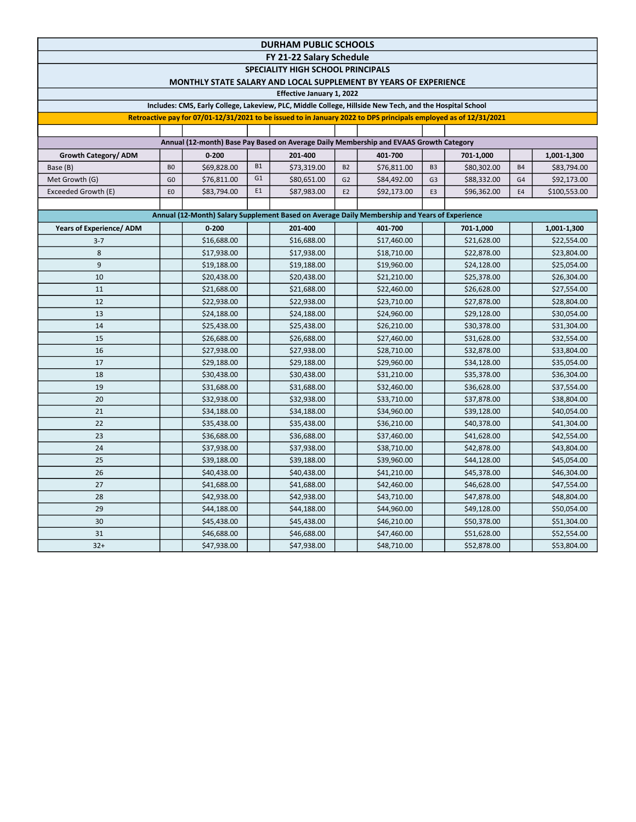| <b>DURHAM PUBLIC SCHOOLS</b>                                                                                     |                                                                                               |             |                |             |                |             |                |             |                |              |  |  |  |
|------------------------------------------------------------------------------------------------------------------|-----------------------------------------------------------------------------------------------|-------------|----------------|-------------|----------------|-------------|----------------|-------------|----------------|--------------|--|--|--|
| FY 21-22 Salary Schedule                                                                                         |                                                                                               |             |                |             |                |             |                |             |                |              |  |  |  |
| <b>SPECIALITY HIGH SCHOOL PRINCIPALS</b><br>MONTHLY STATE SALARY AND LOCAL SUPPLEMENT BY YEARS OF EXPERIENCE     |                                                                                               |             |                |             |                |             |                |             |                |              |  |  |  |
| <b>Effective January 1, 2022</b>                                                                                 |                                                                                               |             |                |             |                |             |                |             |                |              |  |  |  |
| Includes: CMS, Early College, Lakeview, PLC, Middle College, Hillside New Tech, and the Hospital School          |                                                                                               |             |                |             |                |             |                |             |                |              |  |  |  |
| Retroactive pay for 07/01-12/31/2021 to be issued to in January 2022 to DPS principals employed as of 12/31/2021 |                                                                                               |             |                |             |                |             |                |             |                |              |  |  |  |
|                                                                                                                  |                                                                                               |             |                |             |                |             |                |             |                |              |  |  |  |
| Annual (12-month) Base Pay Based on Average Daily Membership and EVAAS Growth Category                           |                                                                                               |             |                |             |                |             |                |             |                |              |  |  |  |
| Growth Category/ADM                                                                                              |                                                                                               | $0 - 200$   |                | 201-400     |                | 401-700     |                | 701-1,000   |                | 1,001-1,300  |  |  |  |
| Base (B)                                                                                                         | B <sub>0</sub>                                                                                | \$69,828.00 | <b>B1</b>      | \$73,319.00 | <b>B2</b>      | \$76,811.00 | B <sub>3</sub> | \$80,302.00 | <b>B4</b>      | \$83,794.00  |  |  |  |
| Met Growth (G)                                                                                                   | G <sub>0</sub>                                                                                | \$76,811.00 | G <sub>1</sub> | \$80,651.00 | G <sub>2</sub> | \$84,492.00 | G <sub>3</sub> | \$88,332.00 | G <sub>4</sub> | \$92,173.00  |  |  |  |
| Exceeded Growth (E)                                                                                              | E <sub>0</sub>                                                                                | \$83,794.00 | E1             | \$87,983.00 | E <sub>2</sub> | \$92,173.00 | E3             | \$96,362.00 | E <sub>4</sub> | \$100,553.00 |  |  |  |
|                                                                                                                  |                                                                                               |             |                |             |                |             |                |             |                |              |  |  |  |
|                                                                                                                  | Annual (12-Month) Salary Supplement Based on Average Daily Membership and Years of Experience |             |                |             |                |             |                |             |                |              |  |  |  |
| <b>Years of Experience/ ADM</b>                                                                                  |                                                                                               | $0 - 200$   |                | 201-400     |                | 401-700     |                | 701-1,000   |                | 1,001-1,300  |  |  |  |
| $3 - 7$                                                                                                          |                                                                                               | \$16,688.00 |                | \$16,688.00 |                | \$17,460.00 |                | \$21,628.00 |                | \$22,554.00  |  |  |  |
| 8                                                                                                                |                                                                                               | \$17,938.00 |                | \$17,938.00 |                | \$18,710.00 |                | \$22,878.00 |                | \$23,804.00  |  |  |  |
| $\overline{9}$                                                                                                   |                                                                                               | \$19,188.00 |                | \$19,188.00 |                | \$19,960.00 |                | \$24,128.00 |                | \$25,054.00  |  |  |  |
| 10                                                                                                               |                                                                                               | \$20,438.00 |                | \$20,438.00 |                | \$21,210.00 |                | \$25,378.00 |                | \$26,304.00  |  |  |  |
| 11                                                                                                               |                                                                                               | \$21,688.00 |                | \$21,688.00 |                | \$22,460.00 |                | \$26,628.00 |                | \$27,554.00  |  |  |  |
| 12                                                                                                               |                                                                                               | \$22,938.00 |                | \$22,938.00 |                | \$23,710.00 |                | \$27,878.00 |                | \$28,804.00  |  |  |  |
| 13                                                                                                               |                                                                                               | \$24,188.00 |                | \$24,188.00 |                | \$24,960.00 |                | \$29,128.00 |                | \$30,054.00  |  |  |  |
| 14                                                                                                               |                                                                                               | \$25,438.00 |                | \$25,438.00 |                | \$26,210.00 |                | \$30,378.00 |                | \$31,304.00  |  |  |  |
| 15                                                                                                               |                                                                                               | \$26,688.00 |                | \$26,688.00 |                | \$27,460.00 |                | \$31,628.00 |                | \$32,554.00  |  |  |  |
| 16                                                                                                               |                                                                                               | \$27,938.00 |                | \$27,938.00 |                | \$28,710.00 |                | \$32,878.00 |                | \$33,804.00  |  |  |  |
| 17                                                                                                               |                                                                                               | \$29,188.00 |                | \$29,188.00 |                | \$29,960.00 |                | \$34,128.00 |                | \$35,054.00  |  |  |  |
| 18                                                                                                               |                                                                                               | \$30,438.00 |                | \$30,438.00 |                | \$31,210.00 |                | \$35,378.00 |                | \$36,304.00  |  |  |  |
| 19                                                                                                               |                                                                                               | \$31,688.00 |                | \$31,688.00 |                | \$32,460.00 |                | \$36,628.00 |                | \$37,554.00  |  |  |  |
| 20                                                                                                               |                                                                                               | \$32,938.00 |                | \$32,938.00 |                | \$33,710.00 |                | \$37,878.00 |                | \$38,804.00  |  |  |  |
| 21                                                                                                               |                                                                                               | \$34,188.00 |                | \$34,188.00 |                | \$34,960.00 |                | \$39,128.00 |                | \$40,054.00  |  |  |  |
| 22                                                                                                               |                                                                                               | \$35,438.00 |                | \$35,438.00 |                | \$36,210.00 |                | \$40,378.00 |                | \$41,304.00  |  |  |  |
| 23                                                                                                               |                                                                                               | \$36,688.00 |                | \$36,688.00 |                | \$37,460.00 |                | \$41,628.00 |                | \$42,554.00  |  |  |  |
| 24                                                                                                               |                                                                                               | \$37,938.00 |                | \$37,938.00 |                | \$38,710.00 |                | \$42,878.00 |                | \$43,804.00  |  |  |  |
| 25                                                                                                               |                                                                                               | \$39,188.00 |                | \$39,188.00 |                | \$39,960.00 |                | \$44,128.00 |                | \$45,054.00  |  |  |  |
| 26                                                                                                               |                                                                                               | \$40,438.00 |                | \$40,438.00 |                | \$41,210.00 |                | \$45,378.00 |                | \$46,304.00  |  |  |  |
| 27                                                                                                               |                                                                                               | \$41,688.00 |                | \$41,688.00 |                | \$42,460.00 |                | \$46,628.00 |                | \$47,554.00  |  |  |  |
| 28                                                                                                               |                                                                                               | \$42,938.00 |                | \$42,938.00 |                | \$43,710.00 |                | \$47,878.00 |                | \$48,804.00  |  |  |  |
| 29                                                                                                               |                                                                                               | \$44,188.00 |                | \$44,188.00 |                | \$44,960.00 |                | \$49,128.00 |                | \$50,054.00  |  |  |  |
| 30                                                                                                               |                                                                                               | \$45,438.00 |                | \$45,438.00 |                | \$46,210.00 |                | \$50,378.00 |                | \$51,304.00  |  |  |  |
| 31                                                                                                               |                                                                                               | \$46,688.00 |                | \$46,688.00 |                | \$47,460.00 |                | \$51,628.00 |                | \$52,554.00  |  |  |  |
| $32+$                                                                                                            |                                                                                               | \$47,938.00 |                | \$47,938.00 |                | \$48,710.00 |                | \$52,878.00 |                | \$53,804.00  |  |  |  |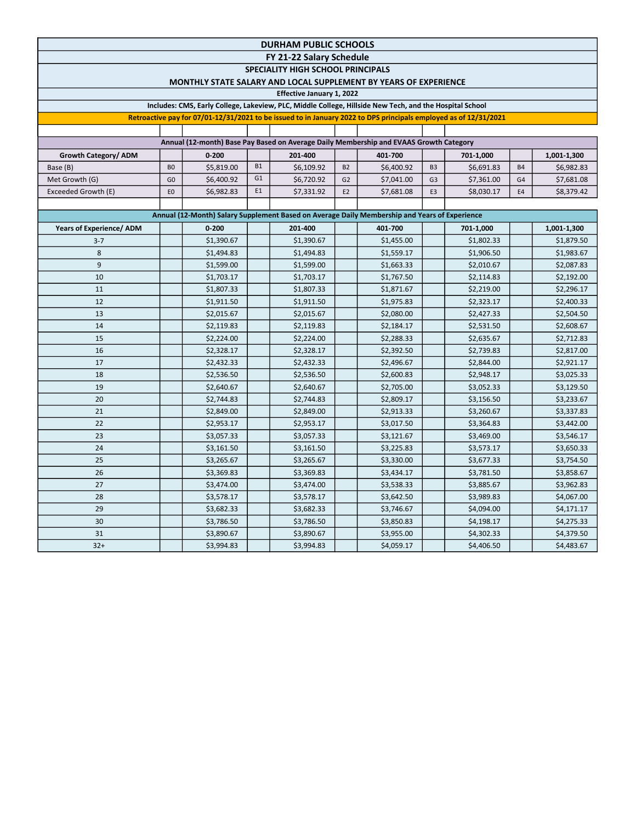| <b>DURHAM PUBLIC SCHOOLS</b>                                                                                        |                |            |                |                                                                                               |                |            |                |            |                |             |  |  |
|---------------------------------------------------------------------------------------------------------------------|----------------|------------|----------------|-----------------------------------------------------------------------------------------------|----------------|------------|----------------|------------|----------------|-------------|--|--|
| FY 21-22 Salary Schedule                                                                                            |                |            |                |                                                                                               |                |            |                |            |                |             |  |  |
| <b>SPECIALITY HIGH SCHOOL PRINCIPALS</b><br><b>MONTHLY STATE SALARY AND LOCAL SUPPLEMENT BY YEARS OF EXPERIENCE</b> |                |            |                |                                                                                               |                |            |                |            |                |             |  |  |
| Effective January 1, 2022                                                                                           |                |            |                |                                                                                               |                |            |                |            |                |             |  |  |
| Includes: CMS, Early College, Lakeview, PLC, Middle College, Hillside New Tech, and the Hospital School             |                |            |                |                                                                                               |                |            |                |            |                |             |  |  |
| Retroactive pay for 07/01-12/31/2021 to be issued to in January 2022 to DPS principals employed as of 12/31/2021    |                |            |                |                                                                                               |                |            |                |            |                |             |  |  |
|                                                                                                                     |                |            |                |                                                                                               |                |            |                |            |                |             |  |  |
| Annual (12-month) Base Pay Based on Average Daily Membership and EVAAS Growth Category                              |                |            |                |                                                                                               |                |            |                |            |                |             |  |  |
| Growth Category/ ADM                                                                                                |                | $0 - 200$  |                | 201-400                                                                                       |                | 401-700    |                | 701-1,000  |                | 1,001-1,300 |  |  |
| Base (B)                                                                                                            | B <sub>0</sub> | \$5,819.00 | <b>B1</b>      | \$6,109.92                                                                                    | <b>B2</b>      | \$6,400.92 | B <sub>3</sub> | \$6,691.83 | <b>B4</b>      | \$6,982.83  |  |  |
| Met Growth (G)                                                                                                      | G <sub>0</sub> | \$6,400.92 | G <sub>1</sub> | \$6,720.92                                                                                    | G <sub>2</sub> | \$7,041.00 | G <sub>3</sub> | \$7,361.00 | G <sub>4</sub> | \$7,681.08  |  |  |
| Exceeded Growth (E)                                                                                                 | E <sub>0</sub> | \$6,982.83 | E1             | \$7,331.92                                                                                    | E <sub>2</sub> | \$7,681.08 | E3             | \$8,030.17 | E4             | \$8,379.42  |  |  |
|                                                                                                                     |                |            |                |                                                                                               |                |            |                |            |                |             |  |  |
|                                                                                                                     |                |            |                | Annual (12-Month) Salary Supplement Based on Average Daily Membership and Years of Experience |                |            |                |            |                |             |  |  |
| Years of Experience/ ADM                                                                                            |                | $0 - 200$  |                | 201-400                                                                                       |                | 401-700    |                | 701-1,000  |                | 1,001-1,300 |  |  |
| $3 - 7$                                                                                                             |                | \$1,390.67 |                | \$1,390.67                                                                                    |                | \$1,455.00 |                | \$1,802.33 |                | \$1,879.50  |  |  |
| 8                                                                                                                   |                | \$1,494.83 |                | \$1,494.83                                                                                    |                | \$1,559.17 |                | \$1,906.50 |                | \$1,983.67  |  |  |
| 9                                                                                                                   |                | \$1,599.00 |                | \$1,599.00                                                                                    |                | \$1,663.33 |                | \$2,010.67 |                | \$2,087.83  |  |  |
| 10                                                                                                                  |                | \$1,703.17 |                | \$1,703.17                                                                                    |                | \$1,767.50 |                | \$2,114.83 |                | \$2,192.00  |  |  |
| 11                                                                                                                  |                | \$1,807.33 |                | \$1,807.33                                                                                    |                | \$1,871.67 |                | \$2,219.00 |                | \$2,296.17  |  |  |
| 12                                                                                                                  |                | \$1,911.50 |                | \$1,911.50                                                                                    |                | \$1,975.83 |                | \$2,323.17 |                | \$2,400.33  |  |  |
| 13                                                                                                                  |                | \$2,015.67 |                | \$2,015.67                                                                                    |                | \$2,080.00 |                | \$2,427.33 |                | \$2,504.50  |  |  |
| 14                                                                                                                  |                | \$2,119.83 |                | \$2,119.83                                                                                    |                | \$2,184.17 |                | \$2,531.50 |                | \$2,608.67  |  |  |
| 15                                                                                                                  |                | \$2,224.00 |                | \$2,224.00                                                                                    |                | \$2,288.33 |                | \$2,635.67 |                | \$2,712.83  |  |  |
| 16                                                                                                                  |                | \$2,328.17 |                | \$2,328.17                                                                                    |                | \$2,392.50 |                | \$2,739.83 |                | \$2,817.00  |  |  |
| 17                                                                                                                  |                | \$2,432.33 |                | \$2,432.33                                                                                    |                | \$2,496.67 |                | \$2,844.00 |                | \$2,921.17  |  |  |
| 18                                                                                                                  |                | \$2,536.50 |                | \$2,536.50                                                                                    |                | \$2,600.83 |                | \$2,948.17 |                | \$3,025.33  |  |  |
| 19                                                                                                                  |                | \$2,640.67 |                | \$2,640.67                                                                                    |                | \$2,705.00 |                | \$3,052.33 |                | \$3,129.50  |  |  |
| 20                                                                                                                  |                | \$2,744.83 |                | \$2,744.83                                                                                    |                | \$2,809.17 |                | \$3,156.50 |                | \$3,233.67  |  |  |
| 21                                                                                                                  |                | \$2,849.00 |                | \$2,849.00                                                                                    |                | \$2,913.33 |                | \$3,260.67 |                | \$3,337.83  |  |  |
| 22                                                                                                                  |                | \$2,953.17 |                | \$2,953.17                                                                                    |                | \$3,017.50 |                | \$3,364.83 |                | \$3,442.00  |  |  |
| 23                                                                                                                  |                | \$3,057.33 |                | \$3,057.33                                                                                    |                | \$3,121.67 |                | \$3,469.00 |                | \$3,546.17  |  |  |
| 24                                                                                                                  |                | \$3,161.50 |                | \$3,161.50                                                                                    |                | \$3,225.83 |                | \$3,573.17 |                | \$3,650.33  |  |  |
| 25                                                                                                                  |                | \$3,265.67 |                | \$3,265.67                                                                                    |                | \$3,330.00 |                | \$3,677.33 |                | \$3,754.50  |  |  |
| 26                                                                                                                  |                | \$3,369.83 |                | \$3,369.83                                                                                    |                | \$3,434.17 |                | \$3,781.50 |                | \$3,858.67  |  |  |
| 27                                                                                                                  |                | \$3,474.00 |                | \$3,474.00                                                                                    |                | \$3,538.33 |                | \$3,885.67 |                | \$3,962.83  |  |  |
| 28                                                                                                                  |                | \$3,578.17 |                | \$3,578.17                                                                                    |                | \$3,642.50 |                | \$3,989.83 |                | \$4,067.00  |  |  |
| 29                                                                                                                  |                | \$3,682.33 |                | \$3,682.33                                                                                    |                | \$3,746.67 |                | \$4,094.00 |                | \$4,171.17  |  |  |
| 30                                                                                                                  |                | \$3,786.50 |                | \$3,786.50                                                                                    |                | \$3,850.83 |                | \$4,198.17 |                | \$4,275.33  |  |  |
| 31                                                                                                                  |                | \$3,890.67 |                | \$3,890.67                                                                                    |                | \$3,955.00 |                | \$4,302.33 |                | \$4,379.50  |  |  |
| $32+$                                                                                                               |                | \$3,994.83 |                | \$3,994.83                                                                                    |                | \$4,059.17 |                | \$4,406.50 |                | \$4,483.67  |  |  |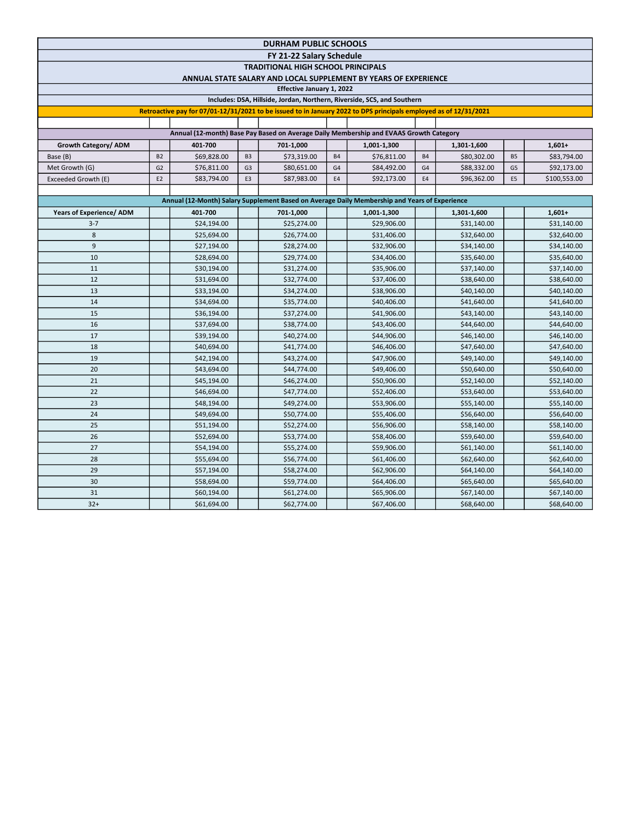| <b>DURHAM PUBLIC SCHOOLS</b>                                                                                     |                |             |                |             |                |             |                |             |                |              |  |  |
|------------------------------------------------------------------------------------------------------------------|----------------|-------------|----------------|-------------|----------------|-------------|----------------|-------------|----------------|--------------|--|--|
| FY 21-22 Salary Schedule                                                                                         |                |             |                |             |                |             |                |             |                |              |  |  |
| <b>TRADITIONAL HIGH SCHOOL PRINCIPALS</b>                                                                        |                |             |                |             |                |             |                |             |                |              |  |  |
| ANNUAL STATE SALARY AND LOCAL SUPPLEMENT BY YEARS OF EXPERIENCE<br>Effective January 1, 2022                     |                |             |                |             |                |             |                |             |                |              |  |  |
| Includes: DSA, Hillside, Jordan, Northern, Riverside, SCS, and Southern                                          |                |             |                |             |                |             |                |             |                |              |  |  |
|                                                                                                                  |                |             |                |             |                |             |                |             |                |              |  |  |
| Retroactive pay for 07/01-12/31/2021 to be issued to in January 2022 to DPS principals employed as of 12/31/2021 |                |             |                |             |                |             |                |             |                |              |  |  |
| Annual (12-month) Base Pay Based on Average Daily Membership and EVAAS Growth Category                           |                |             |                |             |                |             |                |             |                |              |  |  |
| Growth Category/ ADM                                                                                             |                | 401-700     |                | 701-1,000   |                | 1,001-1,300 |                | 1,301-1,600 |                | $1,601+$     |  |  |
| Base (B)                                                                                                         | <b>B2</b>      | \$69,828.00 | B <sub>3</sub> | \$73,319.00 | <b>B4</b>      | \$76,811.00 | <b>B4</b>      | \$80,302.00 | <b>B5</b>      | \$83,794.00  |  |  |
| Met Growth (G)                                                                                                   | G <sub>2</sub> | \$76,811.00 | G <sub>3</sub> | \$80,651.00 | G <sub>4</sub> | \$84,492.00 | G <sub>4</sub> | \$88,332.00 | G <sub>5</sub> | \$92,173.00  |  |  |
| Exceeded Growth (E)                                                                                              | E <sub>2</sub> | \$83,794.00 | E3             | \$87,983.00 | E4             | \$92,173.00 | E4             | \$96,362.00 | E5             | \$100,553.00 |  |  |
|                                                                                                                  |                |             |                |             |                |             |                |             |                |              |  |  |
| Annual (12-Month) Salary Supplement Based on Average Daily Membership and Years of Experience                    |                |             |                |             |                |             |                |             |                |              |  |  |
| <b>Years of Experience/ ADM</b>                                                                                  |                | 401-700     |                | 701-1,000   |                | 1,001-1,300 |                | 1,301-1,600 |                | $1,601+$     |  |  |
| $3 - 7$                                                                                                          |                | \$24,194.00 |                | \$25,274.00 |                | \$29,906.00 |                | \$31,140.00 |                | \$31,140.00  |  |  |
| 8                                                                                                                |                | \$25,694.00 |                | \$26,774.00 |                | \$31,406.00 |                | \$32,640.00 |                | \$32,640.00  |  |  |
| 9                                                                                                                |                | \$27,194.00 |                | \$28,274.00 |                | \$32,906.00 |                | \$34,140.00 |                | \$34,140.00  |  |  |
| 10                                                                                                               |                | \$28,694.00 |                | \$29,774.00 |                | \$34,406.00 |                | \$35,640.00 |                | \$35,640.00  |  |  |
| 11                                                                                                               |                | \$30,194.00 |                | \$31,274.00 |                | \$35,906.00 |                | \$37,140.00 |                | \$37,140.00  |  |  |
| 12                                                                                                               |                | \$31,694.00 |                | \$32,774.00 |                | \$37,406.00 |                | \$38,640.00 |                | \$38,640.00  |  |  |
| 13                                                                                                               |                | \$33,194.00 |                | \$34,274.00 |                | \$38,906.00 |                | \$40,140.00 |                | \$40,140.00  |  |  |
| 14                                                                                                               |                | \$34,694.00 |                | \$35,774.00 |                | \$40,406.00 |                | \$41,640.00 |                | \$41,640.00  |  |  |
| 15                                                                                                               |                | \$36,194.00 |                | \$37,274.00 |                | \$41,906.00 |                | \$43,140.00 |                | \$43,140.00  |  |  |
| 16                                                                                                               |                | \$37,694.00 |                | \$38,774.00 |                | \$43,406.00 |                | \$44,640.00 |                | \$44,640.00  |  |  |
| 17                                                                                                               |                | \$39,194.00 |                | \$40,274.00 |                | \$44,906.00 |                | \$46,140.00 |                | \$46,140.00  |  |  |
| 18                                                                                                               |                | \$40,694.00 |                | \$41,774.00 |                | \$46,406.00 |                | \$47,640.00 |                | \$47,640.00  |  |  |
| 19                                                                                                               |                | \$42,194.00 |                | \$43,274.00 |                | \$47,906.00 |                | \$49,140.00 |                | \$49,140.00  |  |  |
| 20                                                                                                               |                | \$43,694.00 |                | \$44,774.00 |                | \$49,406.00 |                | \$50,640.00 |                | \$50,640.00  |  |  |
| 21                                                                                                               |                | \$45,194.00 |                | \$46,274.00 |                | \$50,906.00 |                | \$52,140.00 |                | \$52,140.00  |  |  |
| 22                                                                                                               |                | \$46,694.00 |                | \$47,774.00 |                | \$52,406.00 |                | \$53,640.00 |                | \$53,640.00  |  |  |
| 23                                                                                                               |                | \$48,194.00 |                | \$49,274.00 |                | \$53,906.00 |                | \$55,140.00 |                | \$55,140.00  |  |  |
| 24                                                                                                               |                | \$49,694.00 |                | \$50,774.00 |                | \$55,406.00 |                | \$56,640.00 |                | \$56,640.00  |  |  |
| 25                                                                                                               |                | \$51,194.00 |                | \$52,274.00 |                | \$56,906.00 |                | \$58,140.00 |                | \$58,140.00  |  |  |
| 26                                                                                                               |                | \$52,694.00 |                | \$53,774.00 |                | \$58,406.00 |                | \$59,640.00 |                | \$59,640.00  |  |  |
| 27                                                                                                               |                | \$54,194.00 |                | \$55,274.00 |                | \$59,906.00 |                | \$61,140.00 |                | \$61,140.00  |  |  |
| 28                                                                                                               |                | \$55,694.00 |                | \$56,774.00 |                | \$61,406.00 |                | \$62,640.00 |                | \$62,640.00  |  |  |
| 29                                                                                                               |                | \$57,194.00 |                | \$58,274.00 |                | \$62,906.00 |                | \$64,140.00 |                | \$64,140.00  |  |  |
| 30                                                                                                               |                | \$58,694.00 |                | \$59,774.00 |                | \$64,406.00 |                | \$65,640.00 |                | \$65,640.00  |  |  |
| 31                                                                                                               |                | \$60,194.00 |                | \$61,274.00 |                | \$65,906.00 |                | \$67,140.00 |                | \$67,140.00  |  |  |
| $32+$                                                                                                            |                | \$61,694.00 |                | \$62,774.00 |                | \$67,406.00 |                | \$68,640.00 |                | \$68,640.00  |  |  |